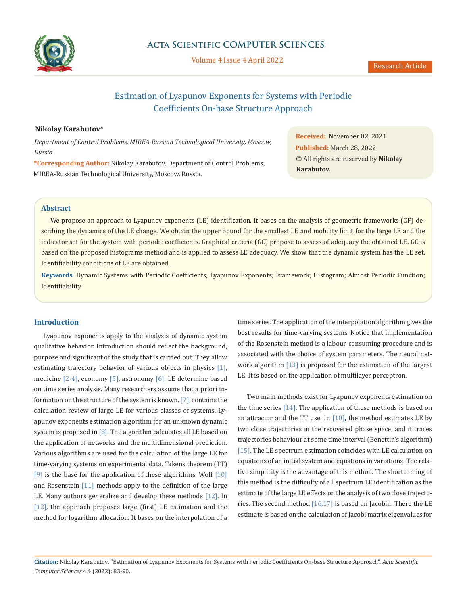

# **Acta Scientific COMPUTER SCIENCES**

Volume 4 Issue 4 April 2022

# Estimation of Lyapunov Exponents for Systems with Periodic Coefficients On-base Structure Approach

## **Nikolay Karabutov\***

*Department of Control Problems, MIREA-Russian Technological University, Moscow, Russia*

**\*Corresponding Author:** Nikolay Karabutov, Department of Control Problems, MIREA-Russian Technological University, Moscow, Russia.

**Received:** November 02, 2021 **Published:** March 28, 2022 © All rights are reserved by **Nikolay Karabutov.**

# **Abstract**

We propose an approach to Lyapunov exponents (LE) identification. It bases on the analysis of geometric frameworks (GF) describing the dynamics of the LE change. We obtain the upper bound for the smallest LE and mobility limit for the large LE and the indicator set for the system with periodic coefficients. Graphical criteria (GC) propose to assess of adequacy the obtained LE. GC is based on the proposed histograms method and is applied to assess LE adequacy. We show that the dynamic system has the LE set. Identifiability conditions of LE are obtained.

**Keywords**: Dynamic Systems with Periodic Coefficients; Lyapunov Exponents; Framework; Histogram; Almost Periodic Function; Identifiability

## **Introduction**

Lyapunov exponents apply to the analysis of dynamic system qualitative behavior. Introduction should reflect the background, purpose and significant of the study that is carried out. They allow estimating trajectory behavior of various objects in physics [1], medicine [2-4], economy [5], astronomy [6]. LE determine based on time series analysis. Many researchers assume that a priori information on the structure of the system is known. [7], contains the calculation review of large LE for various classes of systems. Lyapunov exponents estimation algorithm for an unknown dynamic system is proposed in  $[8]$ . The algorithm calculates all LE based on the application of networks and the multidimensional prediction. Various algorithms are used for the calculation of the large LE for time-varying systems on experimental data. Takens theorem (TT)  $[9]$  is the base for the application of these algorithms. Wolf  $[10]$ and Rosenstein [11] methods apply to the definition of the large LE. Many authors generalize and develop these methods [12]. In [12], the approach proposes large (first) LE estimation and the method for logarithm allocation. It bases on the interpolation of a

time series. The application of the interpolation algorithm gives the best results for time-varying systems. Notice that implementation of the Rosenstein method is a labour-consuming procedure and is associated with the choice of system parameters. The neural network algorithm [13] is proposed for the estimation of the largest LE. It is based on the application of multilayer perceptron.

Two main methods exist for Lyapunov exponents estimation on the time series [14]. The application of these methods is based on an attractor and the TT use. In  $[10]$ , the method estimates LE by two close trajectories in the recovered phase space, and it traces trajectories behaviour at some time interval (Benettin's algorithm) [15]. The LE spectrum estimation coincides with LE calculation on equations of an initial system and equations in variations. The relative simplicity is the advantage of this method. The shortcoming of this method is the difficulty of all spectrum LE identification as the estimate of the large LE effects on the analysis of two close trajectories. The second method  $[16,17]$  is based on Jacobin. There the LE estimate is based on the calculation of Jacobi matrix eigenvalues for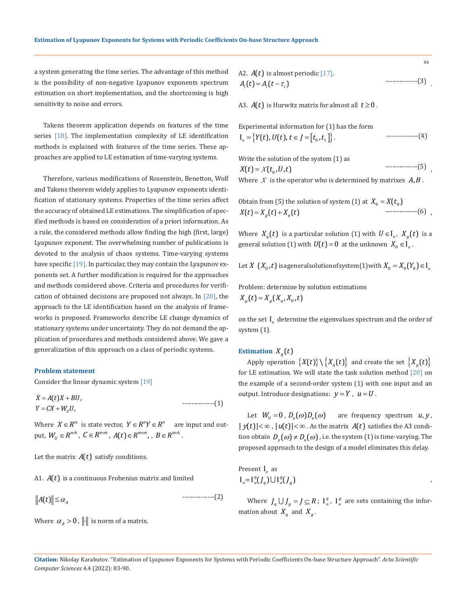a system generating the time series. The advantage of this method is the possibility of non-negative Lyapunov exponents spectrum estimation on short implementation, and the shortcoming is high sensitivity to noise and errors.

Takens theorem application depends on features of the time series [18]. The implementation complexity of LE identification methods is explained with features of the time series. These approaches are applied to LE estimation of time-varying systems.

Therefore, various modifications of Rosenstein, Benetton, Wolf and Takens theorem widely applies to Lyapunov exponents identification of stationary systems. Properties of the time series affect the accuracy of obtained LE estimations. The simplification of specified methods is based on consideration of a priori information. As a rule, the considered methods allow finding the high (first, large) Lyapunov exponent. The overwhelming number of publications is devoted to the analysis of chaos systems. Time-varying systems have specific [19]. In particular, they may contain the Lyapunov exponents set. A further modification is required for the approaches and methods considered above. Criteria and procedures for verification of obtained decisions are proposed not always. In [20], the approach to the LE identification based on the analysis of frameworks is proposed. Frameworks describe LE change dynamics of stationary systems under uncertainty. They do not demand the application of procedures and methods considered above. We gave a generalization of this approach on a class of periodic systems.

## **Problem statement**

Consider the linear dynamic system [19]

 $Y = CX + W_U U,$   $---(1)$  $\dot{X} = A(t)X + BU$ ,

Where  $X \in \mathbb{R}^m$  is state vector,  $Y \in \mathbb{R}^n$   $\in \mathbb{R}^n$  are input and output,  $W_U \in R^{n \times k}$  ,  $C \in R^{n \times m}$  ,  $A(t) \in R^{m \times m}$  , ,  $B \in R^{m \times k}$  .

Let the matrix  $A(t)$  satisfy conditions.

A1.  $A(t)$  is a continuous Frobenius matrix and limited

$$
||A(t)|| \leq \alpha_A \qquad \qquad \qquad \text{---} \tag{2}
$$

Where  $\alpha_A > 0$ , ||-|| is norm of a matrix.

A2.  $A(t)$  is almost periodic [17].  $A_i(t) = A_i(t - \tau_i)$  $\cdots$ ----------------(3)

84

A3.  $A(t)$  is Hurwitz matrix for almost all  $t \geq 0$ .

Experimental information for (1) has the form  
\n
$$
I_o = \{Y(t), U(t), t \in J = [t_o, t_1]\}.
$$

Write the solution of the system (1) as  $X(t) = X(t_0, U, t)$ --------------(5)

Where  $X$  is the operator who is determined by matrixes  $A, B$ .

Obtain from (5) the solution of system (1) at 
$$
X_0 = X(t_0)
$$
  
  $X(t) = X_g(t) + X_q(t)$  (6)

Where  $X_q(t)$  is a particular solution (1) with  $U \in I_q$ ,  $X_q(t)$  is a general solution (1) with  $U(t) = 0$  at the unknown  $X_0 \in I_0$ .

Let *X*  $(X_0,t)$  is a general solution of system (1) with  $X_0 = X_0(Y_0) \in I_0$ 

Problem: determine by solution estimations

 $X_q(t) = X_q(X_q, X_q, t)$ 

on the set I<sub>0</sub> determine the eigenvalues spectrum and the order of system (1).

## **Estimation**  $X_a(t)$

Apply operation  $\{X(t)\}\setminus\{X_a(t)\}\$  and create the set  $\{X_a(t)\}\$ for LE estimation. We will state the task solution method [20] on the example of a second-order system (1) with one input and an output. Introduce designations:  $y = Y$ ,  $u = U$ .

Let  $W_{\mu} = 0$ ,  $D_{\mu}(\omega)D_{\mu}(\omega)$  are frequency spectrum  $u, y$ ,  $|y(t)| < \infty$ ,  $|u(t)| < \infty$ . As the matrix  $A(t)$  satisfies the A3 condition obtain  $D_{\nu}(\omega) \neq D_{\nu}(\omega)$ , i.e. the system (1) is time-varying. The proposed approach to the design of a model eliminates this delay.

Present I<sub>o</sub> as  $I_o = I_o^q(J_q) \bigcup I_o^g(J_g)$ 

Where  $J_q \cup J_g = J \subseteq R$ ;  $I_q^g$ ,  $I_g^g$  are sets containing the information about  $X_q$  and  $X_q$ .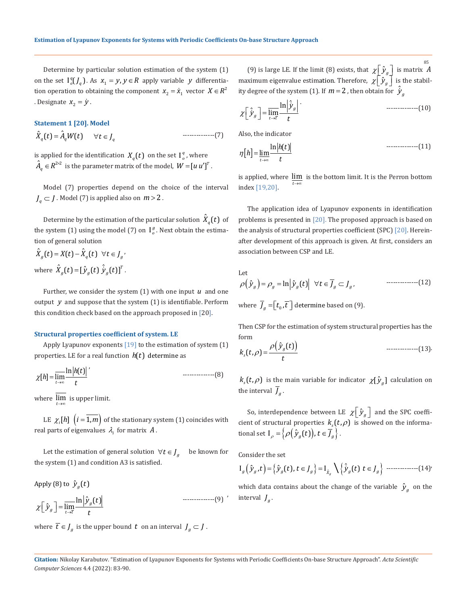Determine by particular solution estimation of the system (1) on the set  $I^q_o(J_q)$ . As  $x_1 = y, y \in R$  apply variable *y* differentiation operation to obtaining the component  $x_2 = \dot{x}_1$  vector  $X \in \mathbb{R}^2$ . Designate  $x_2 = \dot{y}$ .

#### **Statement 1 [20]. Model**

 $\hat{X}_a(t) = \hat{A}_a W(t) \quad \forall t \in J_a$ --------------(7)

is applied for the identification  $X_q(t)$  on the set  $I_q^q$ , where  $\hat{A}_q \in R^{2 \times 2}$  is the parameter matrix of the model,  $\textit{W} = \left[ \textit{u u}^{\prime} \right]^{\textit{T}}$  .

Model (7) properties depend on the choice of the interval  $J<sub>a</sub> \subset J$ . Model (7) is applied also on  $m > 2$ .

Determine by the estimation of the particular solution  $\ddot{X}_{q}(t)$  of the system (1) using the model (7) on  $I_{\sigma}^{g}$ . Next obtain the estimation of general solution

$$
\hat{X}_g(t) = X(t) - \hat{X}_q(t) \quad \forall t \in J_g'
$$
\nwhere  $\hat{X}_g(t) = [\hat{y}_g(t) \hat{y}_g(t)]^T$ .

Further, we consider the system (1) with one input *u* and one output *y* and suppose that the system (1) is identifiable. Perform this condition check based on the approach proposed in [20].

#### **Structural properties coefficient of system. LE**

Apply Lyapunov exponents [19] to the estimation of system (1) properties. LE for a real function  $h(t)$  determine as

$$
\chi[h] = \overline{\lim_{t \to \infty}} \frac{\ln|h(t)|}{t}
$$

where *t*→∞ lim is upper limit.

LE  $\chi_i[h]$   $(i = 1, m)$  of the stationary system (1) coincides with real parts of eigenvalues  $\lambda_i$  for matrix  $A$ .

Let the estimation of general solution  $\forall t \in J_a$  be known for the system (1) and condition A3 is satisfied.

Apply (8) to 
$$
\hat{y}_g(t)
$$

$$
\chi\left[\hat{\mathcal{Y}}_g\right] = \overline{\lim_{t \to \bar{t}} \frac{\ln \left|\hat{\mathcal{Y}}_g(t)\right|}{t}} \qquad \qquad \dots \dots \dots \dots \dots \dots \tag{9}
$$

where  $\overline{t} \in J_g$  is the upper bound  $t$  on an interval  $J_g \subset J$ .

(9) is large LE. If the limit (8) exists, that  $\chi \left[ \hat{y}_g \right]$  is matrix A maximum eigenvalue estimation. Therefore,  $\chi \left[ \hat{y}_g \right]$  is the stability degree of the system (1). If  $m=2$  , then obtain for  $\hat{\dot{\mathcal{Y}}}_g$ 85

$$
\chi \left[ \hat{\dot{\mathcal{Y}}}_g \right] = \overline{\lim_{t \to \bar{t}}} \frac{\ln \left| \hat{\dot{\mathcal{Y}}}_g \right|}{t} \tag{10}
$$

Also, the indicator

$$
\eta[h] = \lim_{t \to \infty} \frac{\ln|h(t)|}{t}
$$

is applied, where  $\lim_{t\to\infty}$  is the bottom limit. It is the Perron bottom index [19,20].

The application idea of Lyapunov exponents in identification problems is presented in [20]. The proposed approach is based on the analysis of structural properties coefficient (SPC) [20]. Hereinafter development of this approach is given. At first, considers an association between CSP and LE.

Let  

$$
\rho(\hat{y}_g) = \rho_g = \ln |\hat{y}_g(t)| \quad \forall t \in \overline{J}_g \subset J_g, \qquad \qquad \text{............} \tag{12}
$$

where  $\overline{J}_a = \left[ t_0, \overline{t} \right]$  determine based on (9).

Then CSP for the estimation of system structural properties has the form

( *<sup>g</sup>* ) *s y t k t t* ρ <sup>ρ</sup> <sup>=</sup> <sup>ˆ</sup> ( ) (, ) . --------------(13)

 $k_s(t, \rho)$  is the main variable for indicator  $\chi[\hat{y}_q]$  calculation on the interval  $\overline{J}_a$ .

So, interdependence between LE  $\chi \left[ \hat{y}_g \right]$  and the SPC coefficient of structural properties  $k_s(t, \rho)$  is showed on the informational set  $I_{\rho} = \left\{ \rho \left( \hat{y}_{g}(t) \right), t \in \overline{J}_{g} \right\}.$ 

Consider the set

( ) { } { } *<sup>g</sup> gg g g <sup>X</sup> g g yt yt t J ytt J* = ∈= ∈ <sup>ˆ</sup> <sup>ˆ</sup> I , ( ), I ( ) ˆ ˆ \ , --------------(14)

which data contains about the change of the variable  $\hat{y}_g$  on the interval  $J_a$ .

**Citation:** Nikolay Karabutov*.* "Estimation of Lyapunov Exponents for Systems with Periodic Coefficients On-base Structure Approach". *Acta Scientific Computer Sciences* 4.4 (2022): 83-90.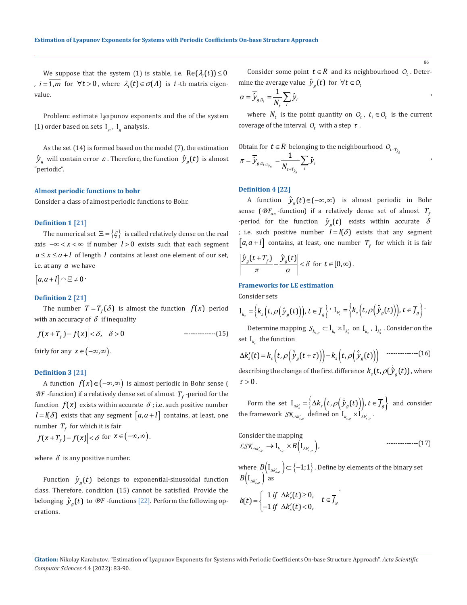We suppose that the system (1) is stable, i.e.  $Re(\lambda_i(t)) \leq 0$ ,  $i = 1, m$  for  $\forall t > 0$ , where  $\lambda_i(t) \in \sigma(A)$  is *i*-th matrix eigenvalue.

Problem: estimate Lyapunov exponents and the of the system (1) order based on sets  $I_{\rho}$ ,  $I_{\rho}$  analysis.

As the set (14) is formed based on the model (7), the estimation  $\hat{y}_g$  will contain error  $\varepsilon$ . Therefore, the function  $\hat{y}_g(t)$  is almost "periodic".

#### **Almost periodic functions to bohr**

Consider a class of almost periodic functions to Bohr.

#### **Definition 1 [21]**

The numerical set  $\Xi = \{ \xi \}$  is called relatively dense on the real axis −∞ < < ∞ *x* if number *l* > 0 exists such that each segment  $a \le x \le a + l$  of length *l* contains at least one element of our set, i.e. at any *a* we have

 $[a,a+l] \cap \Xi \neq 0$ 

## **Definition 2 [21]**

The number  $T = T_f(\delta)$  is almost the function  $f(x)$  period with an accuracy of  $\delta$  if inequality

 $|f(x+T_f)-f(x)| < \delta, \quad \delta > 0$ --------------(15)

fairly for any  $x \in (-\infty, \infty)$ .

## **Definition 3 [21]**

A function  $f(x) \in (-\infty, \infty)$  is almost periodic in Bohr sense (  $BF$  -function) if a relatively dense set of almost  $T_f$  -period for the function  $f(x)$  exists within accurate  $\delta$ ; i.e. such positive number  $l = l(\delta)$  exists that any segment  $[a, a+l]$  contains, at least, one number  $T_f$  for which it is fair

$$
\left|f(x+T_f)-f(x)\right|<\delta \text{ for } x\in\left(-\infty,\infty\right).
$$

where  $\delta$  is any positive number.

Function  $\hat{y}_a(t)$  belongs to exponential-sinusoidal function class. Therefore, condition (15) cannot be satisfied. Provide the belonging  $\hat{y}_a(t)$  to  $\mathcal{B}F$  -functions [22]. Perform the following operations.

Consider some point  $t \in R$  and its neighbourhood  $O_t$ . Determine the average value  $\hat{y}_g(t)$  for  $\forall t \in O_t$ 

86

$$
\alpha = \overline{\hat{y}}_{g,\rho_t} = \frac{1}{N_t} \sum_i \hat{y}_i
$$

where  $N_t$  is the point quantity on  $O_t$ ,  $t_i \in O_t$  is the current coverage of the interval  $O_t$  with a step  $\tau$ .

Obtain for 
$$
t \in R
$$
 belonging to the neighbourhood  $O_{t+T_{\hat{y}_g}}$ 

$$
\pi=\overline{\hat{\cal Y}}_{g,o_{t+\bar{\cal Y}_{g_{g}}}}=\frac{1}{N_{{t+\bar{\cal Y}_{g_{g}}}}}\sum_{i}\hat{\cal Y}_{i}
$$

## **Definition 4 [22]**

A function  $\hat{y}_g(t) \in (-\infty, \infty)$  is almost periodic in Bohr sense ( $\mathcal{B}F_{\alpha\pi}$ -function) if a relatively dense set of almost  $T_f$ -period for the function  $\hat{y}_q(t)$  exists within accurate  $\delta$ ; i.e. such positive number  $l = l(\delta)$  exists that any segment  $[a,a+l]$  contains, at least, one number  $T_f$  for which it is fair

$$
\left|\frac{\hat{y}_g(t+T_f)}{\pi} - \frac{\hat{y}_g(t)}{\alpha}\right| < \delta \ \ \text{for} \ \ t \in [0,\infty).
$$

## **Frameworks for LE estimation**

Consider sets

$$
\mathrm{I}_{k_{s}}=\Big\{k_{s}\Big(t,\rho\Big(\hat{\mathcal{Y}}_{g}\big(t\big)\Big)\Big),t\in\overline{\mathcal{J}}_{g}\Big\} \cdot \mathrm{I}_{k'_{s}}=\Big\{k_{s}\Big(t,\rho\Big(\hat{\mathcal{Y}}_{g}\big(t\big)\Big)\Big),t\in\overline{\mathcal{J}}_{g}\Big\} \cdot
$$

Determine mapping  $S_{k_{s,\rho}} \subset I_{k_s} \times I_{k'_s}$  on  $I_{k_s}$ ,  $I_{k'_s}$ . Consider on the set  $I_{k'}$  the function

$$
\Delta k'_{s}(t) = k_{s}\left(t,\rho\left(\hat{\dot{y}}_{g}(t+\tau)\right)\right) - k_{s}\left(t,\rho\left(\hat{\dot{y}}_{g}(t)\right)\right) \quad \text{---} \quad (16)
$$

describing the change of the first difference  $k_s(t, \rho(\hat{y}_a(t))$ , where  $\tau > 0$ .

Form the set  $I_{\Delta k'_s} = \left\{ \Delta k_s \left( t, \rho \left( \dot{\hat{y}}_g(t) \right) \right), t \in \overline{J}_g \right\}$  and consider the framework  $\mathcal{SK}_{\Delta k'_{s,\rho}}$  defined on  $I_{k_{s,\rho}} \times I_{\Delta k'_{s,\rho}}$ .

Consider the mapping  
\n
$$
\text{LSK}_{\Delta k'_{s,\rho}} \to I_{k_{s,\rho}} \times B(I_{\Delta k'_{s,\rho}}),
$$
 \n  
\n $\text{........(17)}$ 

where  $B(I_{\Delta k'_{s,\rho}}) \subset \{-1,1\}$ . Define by elements of the binary set  $B\big(\mathop{\rm I}\nolimits_{\Delta k'_{s,\rho}}\big)$  as

$$
b(t) = \begin{cases} 1 \text{ if } \Delta k'_s(t) \geq 0, \\ -1 \text{ if } \Delta k'_s(t) < 0, \end{cases} t \in \overline{J}_g
$$

**Citation:** Nikolay Karabutov*.* "Estimation of Lyapunov Exponents for Systems with Periodic Coefficients On-base Structure Approach". *Acta Scientific Computer Sciences* 4.4 (2022): 83-90.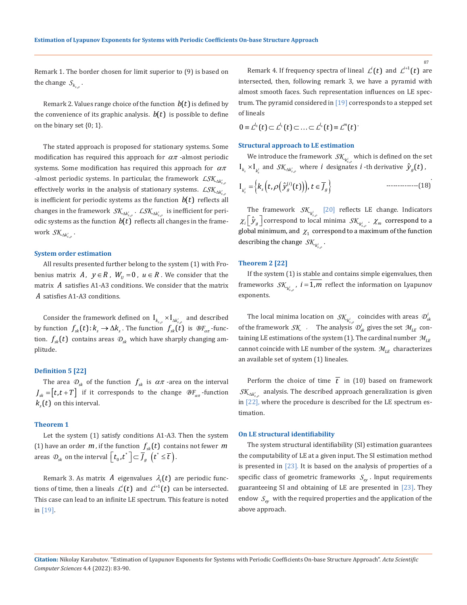87

Remark 1. The border chosen for limit superior to (9) is based on the change  $S_{k_{s,\rho}}$  .

Remark 2. Values range choice of the function  $b(t)$  is defined by the convenience of its graphic analysis.  $b(t)$  is possible to define on the binary set {0; 1}.

The stated approach is proposed for stationary systems. Some modification has required this approach for  $\alpha\pi$  -almost periodic systems. Some modification has required this approach for  $\alpha\pi$  $\mathcal{L}$  almost periodic systems. In particular, the framework  $\mathcal{L} \mathcal{S} \mathcal{K}_{\Delta k'_{s,\rho}}$ effectively works in the analysis of stationary systems.  $\mathcal{LSK}_{\Delta k'_{s,\rho}}$ is inefficient for periodic systems as the function  $b(t)$  reflects all changes in the framework  $\mathcal{SK}_{\Delta k'_{s,\rho}}$  .  $\mathcal{LSK}_{\Delta k'_{s,\rho}}$  is inefficient for periodic systems as the function  $b(t)$  reflects all changes in the framework *S*<sub>*K*<sub>Δ*k'*<sub>*s ο</sub>* ·</sub></sub></sub>

#### **System order estimation**

All results presented further belong to the system (1) with Frobenius matrix *A*,  $y \in R$ ,  $W_{ij} = 0$ ,  $u \in R$ . We consider that the matrix *A* satisfies A1-A3 conditions. We consider that the matrix *A* satisfies A1-A3 conditions.

Consider the framework defined on  $\, {\rm I}_{k_{s,\rho}} \times {\rm I}_{\Delta k'_{s,\rho}} \,$  and described by function  $f_{sk}(t)$ :  $k_s \rightarrow \Delta k_s$ . The function  $f_{sk}(t)$  is  $\mathcal{BF}_{\alpha\pi}$ -function.  $f_{sk}$  (*t*) contains areas  $\mathcal{D}_{sk}$  which have sharply changing amplitude.

#### **Definition 5 [22]**

The area  $\mathcal{D}_{sk}$  of the function  $f_{sk}$  is  $\alpha\pi$  -area on the interval  $J_{sk} = [t, t + T]$  if it corresponds to the change  $BF_{\alpha\pi}$ -function  $k<sub>s</sub>(t)$  on this interval.

## **Theorem 1**

Let the system (1) satisfy conditions A1-A3. Then the system (1) have an order  $m$ , if the function  $f_{sk}(t)$  contains not fewer  $m$ areas  $\mathcal{D}_{\scriptscriptstyle{sk}}$  on the interval  $\left\lfloor t_{\scriptscriptstyle{0}}^{\vphantom{\dag}},t^{\ast}\right\rfloor \subset\overline{J}_{\scriptscriptstyle{g}}^{\phantom{\dag}}\left(t^{\ast}\leq\overline{t}\right)$ .

Remark 3. As matrix A eigenvalues  $\lambda_i(t)$  are periodic functions of time, then a lineals  $\mathcal{L}^i(t)$  and  $\mathcal{L}^{i+1}(t)$  can be intersected. This case can lead to an infinite LE spectrum. This feature is noted in [19].

Remark 4. If frequency spectra of lineal  $\mathcal{L}^{i}(t)$  and  $\mathcal{L}^{i+1}(t)$  are intersected, then, following remark 3, we have a pyramid with almost smooth faces. Such representation influences on LE spectrum. The pyramid considered in [19] corresponds to a stepped set of lineals

$$
0\equiv \mathcal{L}^{l_0}(t)\subset \mathcal{L}^{l_1}(t)\subset \ldots \subset \mathcal{L}^{l_n}(t)\equiv \mathcal{L}^{m}(t)\,.
$$

#### **Structural approach to LE estimation**

We introduce the framework  $\mathcal{SK}_{k_{s,\rho}^i}$  which is defined on the set  $I_{k_s} \times I_{k'}$  and  $S_{k} \times I_{k'}$  where *i* designates *i*-th derivative  $\hat{y}_g(t)$ ,

$$
\mathbf{I}_{k'_s} = \left\{ k_s \left( t, \rho \left( \hat{\mathcal{Y}}_g^{(i)}(t) \right) \right), t \in \overline{J}_g \right\} \qquad \qquad \text{---} \tag{18}
$$

The framework  $\mathcal{SK}_{k_{s,\rho}^i}$  [20] reflects LE change. Indicators  $\chi_i \left[ \hat{\mathcal{Y}}_g \right]$  correspond to local minima  $\mathcal{SK}_{k_{s,\rho}^i}$ .  $\chi_m$  correspond to a global minimum, and  $\chi_1$  correspond to a maximum of the function describing the change  $\,mathcal{SK}_{k_{s,\rho}^{i}}$ .

## **Theorem 2 [22]**

If the system (1) is stable and contains simple eigenvalues, then frameworks  $\mathcal{SK}_{k^i_{s,p}}$ ,  $i = 1, m$  reflect the information on Lyapunov exponents.

The local minima location on  $\mathcal{SK}_{k_{s,\rho}^i}$  coincides with areas  $\mathcal{D}_{sk}^i$ of the framework  $\mathcal{S}\mathcal{K}$  *i* The analysis  $\mathcal{D}_{sk}^{i}$  gives the set  $\mathcal{M}_{LE}$  containing LE estimations of the system (1). The cardinal number *MLE* cannot coincide with LE number of the system.  $M_{LE}$  characterizes an available set of system (1) lineales.

Perform the choice of time  $\overline{t}$  in (10) based on framework  $S\mathcal{K}_{\Lambda k'}$  analysis. The described approach generalization is given in [22], where the procedure is described for the LE spectrum estimation.

#### **On LE structural identifiability**

The system structural identifiability (SI) estimation guarantees the computability of LE at a given input. The SI estimation method is presented in [23]. It is based on the analysis of properties of a specific class of geometric frameworks  $S_{ev}$ . Input requirements guaranteeing SI and obtaining of LE are presented in [23]. They endow  $S_{ev}$  with the required properties and the application of the above approach.

**Citation:** Nikolay Karabutov*.* "Estimation of Lyapunov Exponents for Systems with Periodic Coefficients On-base Structure Approach". *Acta Scientific Computer Sciences* 4.4 (2022): 83-90.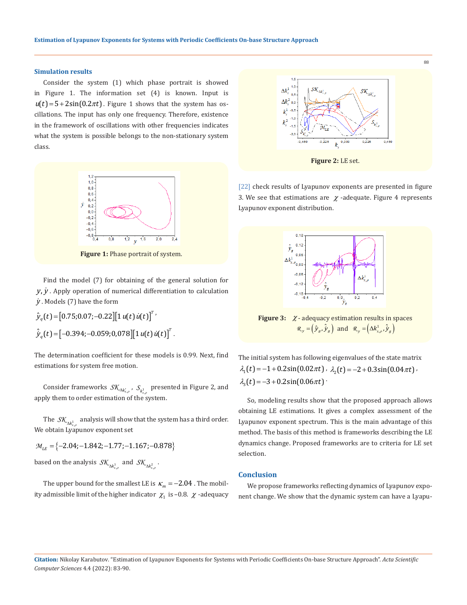## **Simulation results**

Consider the system (1) which phase portrait is showed in Figure 1. The information set (4) is known. Input is  $u(t) = 5 + 2\sin(0.2\pi t)$ . Figure 1 shows that the system has oscillations. The input has only one frequency. Therefore, existence in the framework of oscillations with other frequencies indicates what the system is possible belongs to the non-stationary system class.



**Figure 1:** Phase portrait of system.

Find the model (7) for obtaining of the general solution for  $y, \dot{y}$ . Apply operation of numerical differentiation to calculation *y* . Models (7) have the form

 $\hat{y}_q(t) = [0.75; 0.07; -0.22][1 u(t) \dot{u}(t)]^T$  $\hat{\dot{y}}_{q}(t)$  =  $\left[-0.394; -0.059; 0,078\right] \left[1 \, u(t) \, \dot{u}(t)\right]^{T}.$ 

The determination coefficient for these models is 0.99. Next, find estimations for system free motion.

Consider frameworks  $\mathcal{SK}_{\Delta k'_{s,\rho}}$ ,  $\mathcal{S}_{k^1_{s,\rho}}$  presented in Figure 2, and apply them to order estimation of the system.

The  $\,\mathcal{SK}_{\Delta k_{s,\rho}^1}\,$  analysis will show that the system has a third order. We obtain Lyapunov exponent set

 $M_{LE}$  = {-2.04; -1.842; -1.77; -1.167; -0.878}

based on the analysis  $\mathcal{SK}_{\Delta k^1_{s,\rho}}$  and  $\mathcal{SK}_{\Delta k^2_{s,\rho}}$  .

The upper bound for the smallest LE is  $\kappa_m = -2.04$ . The mobility admissible limit of the higher indicator  $\chi_1$  is –0.8.  $\chi$  -adequacy



[22] check results of Lyapunov exponents are presented in figure 3. We see that estimations are  $\chi$  -adequate. Figure 4 represents Lyapunov exponent distribution.



**Figure 3:**  $\chi$ - adequacy estimation results in spaces  $\mathcal{R}_y = (\hat{y}_g, \hat{y}_g)$  and  $\mathcal{R}_y = (\Delta k_{s,\rho}^1, \hat{y}_g)$ 

The initial system has following eigenvalues of the state matrix  $\lambda_1(t) = -1 + 0.2\sin(0.02\pi t)$ ,  $\lambda_2(t) = -2 + 0.3\sin(0.04\pi t)$  $\lambda_1(t) = -3 + 0.2\sin(0.06\pi t)$ 

So, modeling results show that the proposed approach allows obtaining LE estimations. It gives a complex assessment of the Lyapunov exponent spectrum. This is the main advantage of this method. The basis of this method is frameworks describing the LE dynamics change. Proposed frameworks are to criteria for LE set selection.

# **Conclusion**

We propose frameworks reflecting dynamics of Lyapunov exponent change. We show that the dynamic system can have a Lyapu-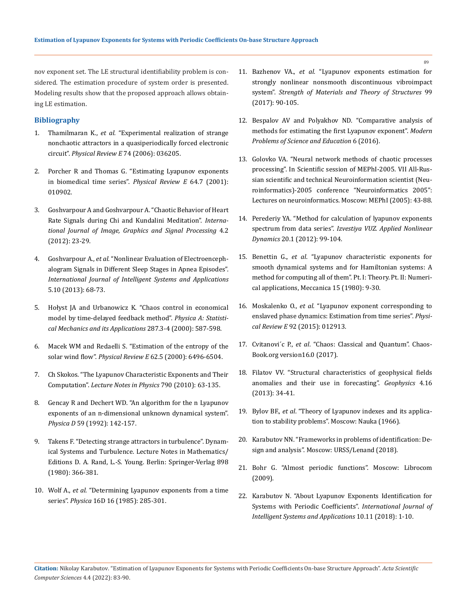nov exponent set. The LE structural identifiability problem is considered. The estimation procedure of system order is presented. Modeling results show that the proposed approach allows obtaining LE estimation.

# **Bibliography**

- 1. Thamilmaran K., *et al.* ["Experimental realization of strange](https://journals.aps.org/pre/abstract/10.1103/PhysRevE.74.036205) [nonchaotic attractors in a quasiperiodically forced electronic](https://journals.aps.org/pre/abstract/10.1103/PhysRevE.74.036205) circuit". *[Physical Review E](https://journals.aps.org/pre/abstract/10.1103/PhysRevE.74.036205)* 74 (2006): 036205.
- 2. [Porcher R and Thomas G. "Estimating Lyapunov exponents](https://www.researchgate.net/publication/11881275_Estimating_Lyapunov_exponents_in_biomedical_time_series) [in biomedical time series".](https://www.researchgate.net/publication/11881275_Estimating_Lyapunov_exponents_in_biomedical_time_series) *Physical Review E* 64.7 (2001): [010902.](https://www.researchgate.net/publication/11881275_Estimating_Lyapunov_exponents_in_biomedical_time_series)
- 3. [Goshvarpour A and Goshvarpour A. "Chaotic Behavior of Heart](https://www.researchgate.net/publication/267710294_Chaotic_Behavior_of_Heart_Rate_Signals_during_Chi_and_Kundalini_Meditation) [Rate Signals during Chi and Kundalini Meditation".](https://www.researchgate.net/publication/267710294_Chaotic_Behavior_of_Heart_Rate_Signals_during_Chi_and_Kundalini_Meditation) *Interna[tional Journal of Image, Graphics and Signal Processing](https://www.researchgate.net/publication/267710294_Chaotic_Behavior_of_Heart_Rate_Signals_during_Chi_and_Kundalini_Meditation)* 4.2 [\(2012\): 23-29.](https://www.researchgate.net/publication/267710294_Chaotic_Behavior_of_Heart_Rate_Signals_during_Chi_and_Kundalini_Meditation)
- 4. Goshvarpour A., *et al.* ["Nonlinear Evaluation of Electroenceph](https://www.researchgate.net/publication/259641271_Nonlinear_Evaluation_of_Electroencephalogram_Signals_in_Different_Sleep_Stages_in_Apnea_Episodes)[alogram Signals in Different Sleep Stages in Apnea Episodes".](https://www.researchgate.net/publication/259641271_Nonlinear_Evaluation_of_Electroencephalogram_Signals_in_Different_Sleep_Stages_in_Apnea_Episodes) *[International Journal of Intelligent Systems and Applications](https://www.researchgate.net/publication/259641271_Nonlinear_Evaluation_of_Electroencephalogram_Signals_in_Different_Sleep_Stages_in_Apnea_Episodes)*  [5.10 \(2013\): 68-73.](https://www.researchgate.net/publication/259641271_Nonlinear_Evaluation_of_Electroencephalogram_Signals_in_Different_Sleep_Stages_in_Apnea_Episodes)
- 5. [Hołyst JA and Urbanowicz K. "Chaos control in economical](https://www.researchgate.net/publication/222958941_Chaos_control_in_economical_model_by_time-delayed_feedback_method) [model by time-delayed feedback method".](https://www.researchgate.net/publication/222958941_Chaos_control_in_economical_model_by_time-delayed_feedback_method) *Physica A: Statisti[cal Mechanics and its Applications](https://www.researchgate.net/publication/222958941_Chaos_control_in_economical_model_by_time-delayed_feedback_method)* 287.3-4 (2000): 587-598.
- 6. [Macek WM and Redaelli S. "Estimation of the entropy of the](https://pubmed.ncbi.nlm.nih.gov/11101986/) solar wind flow". *Physical Review E* [62.5 \(2000\): 6496-6504.](https://pubmed.ncbi.nlm.nih.gov/11101986/)
- 7. [Ch Skokos. "The Lyapunov Characteristic Exponents and Their](https://arxiv.org/abs/0811.0882) Computation". *[Lecture Notes in Physics](https://arxiv.org/abs/0811.0882)* 790 (2010): 63-135.
- 8. [Gencay R and Dechert WD. "An algorithm for the n Lyapunov](https://www.spiedigitallibrary.org/conference-proceedings-of-spie/1710/0000/Algorithm-for-the-N-Lyapunov-exponents-of-an-N-dimensional/10.1117/12.140105.short?SSO=1) [exponents of an n-dimensional unknown dynamical system".](https://www.spiedigitallibrary.org/conference-proceedings-of-spie/1710/0000/Algorithm-for-the-N-Lyapunov-exponents-of-an-N-dimensional/10.1117/12.140105.short?SSO=1) *Physica D* [59 \(1992\): 142-157.](https://www.spiedigitallibrary.org/conference-proceedings-of-spie/1710/0000/Algorithm-for-the-N-Lyapunov-exponents-of-an-N-dimensional/10.1117/12.140105.short?SSO=1)
- 9. [Takens F. "Detecting strange attractors in turbulence". Dynam](https://link.springer.com/chapter/10.1007/BFb0091924)[ical Systems and Turbulence. Lecture Notes in Mathematics/](https://link.springer.com/chapter/10.1007/BFb0091924) [Editions D. A. Rand, L.-S. Young. Berlin: Springer-Verlag 898](https://link.springer.com/chapter/10.1007/BFb0091924) [\(1980\): 366-381.](https://link.springer.com/chapter/10.1007/BFb0091924)
- 10. Wolf A., *et al.* ["Determining Lyapunov exponents from a time](https://www.sciencedirect.com/science/article/abs/pii/0167278985900119) series". *Physica* [16D 16 \(1985\): 285-301.](https://www.sciencedirect.com/science/article/abs/pii/0167278985900119)
- 11. Bazhenov VA., *et al.* ["Lyapunov exponents estimation for](http://opir.knuba.edu.ua/files/zbirnyk-99/06-99_.pdf)  [strongly nonlinear nonsmooth discontinuous vibroimpact](http://opir.knuba.edu.ua/files/zbirnyk-99/06-99_.pdf)  system". *[Strength of Materials and Theory of Structures](http://opir.knuba.edu.ua/files/zbirnyk-99/06-99_.pdf)* 99 [\(2017\): 90-105.](http://opir.knuba.edu.ua/files/zbirnyk-99/06-99_.pdf)
- 12. [Bespalov AV and Polyakhov ND. "Comparative analysis of](https://www.researchgate.net/publication/2357600_A_Comparison_between_Methods_to_Compute_Lyapunov_Exponents) [methods for estimating the first Lyapunov exponent".](https://www.researchgate.net/publication/2357600_A_Comparison_between_Methods_to_Compute_Lyapunov_Exponents) *Modern [Problems of Science and Education](https://www.researchgate.net/publication/2357600_A_Comparison_between_Methods_to_Compute_Lyapunov_Exponents)* 6 (2016).
- 13. Golovko VA. "Neural network methods of chaotic processes processing". In Scientific session of MEPhI-2005. VII All-Russian scientific and technical Neuroinformation scientist (Neuroinformatics)-2005 conference "Neuroinformatics 2005": Lectures on neuroinformatics. Moscow: MEPhI (2005): 43-88.
- 14. Perederiy YA. "Method for calculation of lyapunov exponents spectrum from data series". *Izvestiya VUZ. Applied Nonlinear Dynamics* 20.1 (2012): 99-104.
- 15. Benettin G., *et al*[. "Lyapunov characteristic exponents for](https://link.springer.com/article/10.1007/BF02128236) [smooth dynamical systems and for Hamiltonian systems: A](https://link.springer.com/article/10.1007/BF02128236)  [method for computing all of them". Pt. I: Theory. Pt. II: Numeri](https://link.springer.com/article/10.1007/BF02128236)[cal applications, Meccanica 15 \(1980\): 9-30.](https://link.springer.com/article/10.1007/BF02128236)
- 16. Moskalenko O., *et al*[. "Lyapunov exponent corresponding to](https://www.researchgate.net/publication/281056077_Lyapunov_exponent_corresponding_to_enslaved_phase_dynamics_Estimation_from_time_series) [enslaved phase dynamics: Estimation from time series".](https://www.researchgate.net/publication/281056077_Lyapunov_exponent_corresponding_to_enslaved_phase_dynamics_Estimation_from_time_series) *Physical Review E* [92 \(2015\): 012913.](https://www.researchgate.net/publication/281056077_Lyapunov_exponent_corresponding_to_enslaved_phase_dynamics_Estimation_from_time_series)
- 17. Cvitanovi´c P., *et al*[. "Chaos: Classical and Quantum". Chaos-](https://chaosbook.org/version16/chapters/ChaosBook.pdf)[Book.org version16.0 \(2017\).](https://chaosbook.org/version16/chapters/ChaosBook.pdf)
- 18. Filatov VV. "Structural characteristics of geophysical fields anomalies and their use in forecasting". *Geophysics* 4.16 (2013): 34-41.
- 19. Bylov BF., *et al*. "Theory of Lyapunov indexes and its application to stability problems". Moscow: Nauka (1966).
- 20. Karabutov NN. "Frameworks in problems of identification: Design and analysis". Moscow: URSS/Lenand (2018).
- 21. Bohr G. "Almost periodic functions". Moscow: Librocom (2009).
- 22. [Karabutov N. "About Lyapunov Exponents Identification for](https://www.researchgate.net/publication/328731964_About_Lyapunov_Exponents_Identification_for_Systems_with_Periodic_Coefficients) [Systems with Periodic Coefficients".](https://www.researchgate.net/publication/328731964_About_Lyapunov_Exponents_Identification_for_Systems_with_Periodic_Coefficients) *International Journal of [Intelligent Systems and Applications](https://www.researchgate.net/publication/328731964_About_Lyapunov_Exponents_Identification_for_Systems_with_Periodic_Coefficients)* 10.11 (2018): 1-10.

89